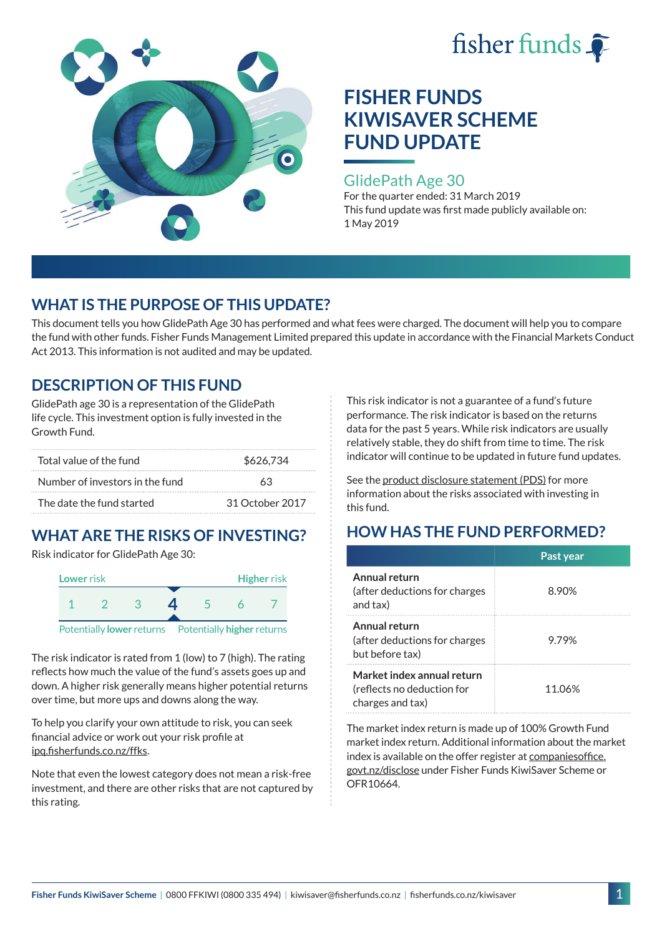



#### GlidePath Age 30

For the quarter ended: 31 March 2019 This fund update was first made publicly available on: 1 May 2019

### **WHAT IS THE PURPOSE OF THIS UPDATE?**

This document tells you how GlidePath Age 30 has performed and what fees were charged. The document will help you to compare the fund with other funds. Fisher Funds Management Limited prepared this update in accordance with the Financial Markets Conduct Act 2013. This information is not audited and may be updated.

### **DESCRIPTION OF THIS FUND**

GlidePath age 30 is a representation of the GlidePath life cycle. This investment option is fully invested in the Growth Fund.

| Total value of the fund         | \$626,734       |  |  |
|---------------------------------|-----------------|--|--|
| Number of investors in the fund | 63              |  |  |
| The date the fund started       | 31 October 2017 |  |  |

# **WHAT ARE THE RISKS OF INVESTING?**

Risk indicator for GlidePath Age 30:



The risk indicator is rated from 1 (low) to 7 (high). The rating

reflects how much the value of the fund's assets goes up and down. A higher risk generally means higher potential returns over time, but more ups and downs along the way.

To help you clarify your own attitude to risk, you can seek financial advice or work out your risk profile at [ipq.fisherfunds.co.nz/ffks](https://ipq.fisherfunds.co.nz/ffks).

Note that even the lowest category does not mean a risk-free investment, and there are other risks that are not captured by this rating.

This risk indicator is not a guarantee of a fund's future performance. The risk indicator is based on the returns data for the past 5 years. While risk indicators are usually relatively stable, they do shift from time to time. The risk indicator will continue to be updated in future fund updates.

See the [product disclosure statement \(PDS\)](https://fisherfunds.co.nz/assets/PDS/Fisher-Funds-KiwiSaver-Scheme-PDS.pdf) for more information about the risks associated with investing in this fund.

## **HOW HAS THE FUND PERFORMED?**

|                                                                              | Past year |
|------------------------------------------------------------------------------|-----------|
| Annual return<br>(after deductions for charges<br>and tax)                   | 8.90%     |
| Annual return<br>(after deductions for charges<br>but before tax)            | 9.79%     |
| Market index annual return<br>(reflects no deduction for<br>charges and tax) | 11.06%    |

The market index return is made up of 100% Growth Fund market index return. Additional information about the market index is available on the offer register at [companiesoffice.](http://companiesoffice.govt.nz/disclose) [govt.nz/disclose](http://companiesoffice.govt.nz/disclose) under Fisher Funds KiwiSaver Scheme or OFR10664.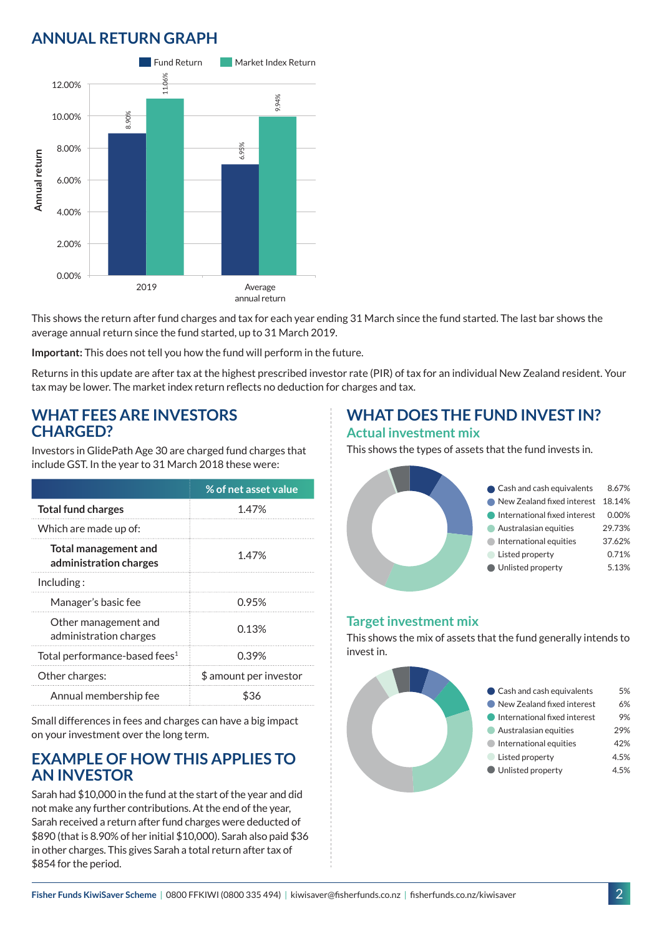## **ANNUAL RETURN GRAPH**



This shows the return after fund charges and tax for each year ending 31 March since the fund started. The last bar shows the average annual return since the fund started, up to 31 March 2019.

**Important:** This does not tell you how the fund will perform in the future.

Returns in this update are after tax at the highest prescribed investor rate (PIR) of tax for an individual New Zealand resident. Your tax may be lower. The market index return reflects no deduction for charges and tax.

#### **WHAT FEES ARE INVESTORS CHARGED?**

Investors in GlidePath Age 30 are charged fund charges that include GST. In the year to 31 March 2018 these were:

|                                                       | % of net asset value   |
|-------------------------------------------------------|------------------------|
| <b>Total fund charges</b>                             | 1.47%                  |
| Which are made up of:                                 |                        |
| <b>Total management and</b><br>administration charges | 1.47%                  |
| Including:                                            |                        |
| Manager's basic fee                                   | 0.95%                  |
| Other management and<br>administration charges        | 0.13%                  |
| Total performance-based fees <sup>1</sup>             | 0.39%                  |
| Other charges:                                        | \$ amount per investor |
| Annual membership fee                                 | ዬ'⊰ራ                   |

Small differences in fees and charges can have a big impact on your investment over the long term.

#### **EXAMPLE OF HOW THIS APPLIES TO AN INVESTOR**

Sarah had \$10,000 in the fund at the start of the year and did not make any further contributions. At the end of the year, Sarah received a return after fund charges were deducted of \$890 (that is 8.90% of her initial \$10,000). Sarah also paid \$36 in other charges. This gives Sarah a total return after tax of \$854 for the period.

### **WHAT DOES THE FUND INVEST IN? Actual investment mix**

This shows the types of assets that the fund invests in.



#### **Target investment mix**

This shows the mix of assets that the fund generally intends to invest in.